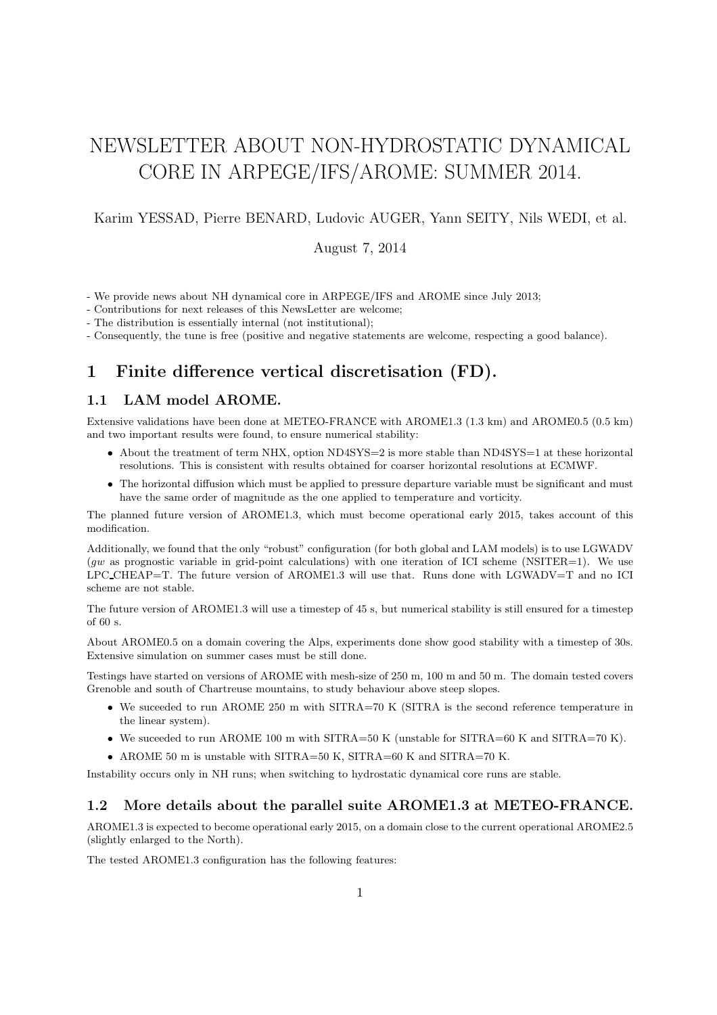# NEWSLETTER ABOUT NON-HYDROSTATIC DYNAMICAL CORE IN ARPEGE/IFS/AROME: SUMMER 2014.

Karim YESSAD, Pierre BENARD, Ludovic AUGER, Yann SEITY, Nils WEDI, et al.

August 7, 2014

- We provide news about NH dynamical core in ARPEGE/IFS and AROME since July 2013;

- Contributions for next releases of this NewsLetter are welcome;

- The distribution is essentially internal (not institutional);

- Consequently, the tune is free (positive and negative statements are welcome, respecting a good balance).

# 1 Finite difference vertical discretisation (FD).

## 1.1 LAM model AROME.

Extensive validations have been done at METEO-FRANCE with AROME1.3 (1.3 km) and AROME0.5 (0.5 km) and two important results were found, to ensure numerical stability:

- About the treatment of term NHX, option ND4SYS=2 is more stable than ND4SYS=1 at these horizontal resolutions. This is consistent with results obtained for coarser horizontal resolutions at ECMWF.
- The horizontal diffusion which must be applied to pressure departure variable must be significant and must have the same order of magnitude as the one applied to temperature and vorticity.

The planned future version of AROME1.3, which must become operational early 2015, takes account of this modification.

Additionally, we found that the only "robust" configuration (for both global and LAM models) is to use LGWADV  $(gw$  as prognostic variable in grid-point calculations) with one iteration of ICI scheme (NSITER=1). We use LPC CHEAP=T. The future version of AROME1.3 will use that. Runs done with LGWADV=T and no ICI scheme are not stable.

The future version of AROME1.3 will use a timestep of 45 s, but numerical stability is still ensured for a timestep of 60 s.

About AROME0.5 on a domain covering the Alps, experiments done show good stability with a timestep of 30s. Extensive simulation on summer cases must be still done.

Testings have started on versions of AROME with mesh-size of 250 m, 100 m and 50 m. The domain tested covers Grenoble and south of Chartreuse mountains, to study behaviour above steep slopes.

- We suceeded to run AROME 250 m with SITRA=70 K (SITRA is the second reference temperature in the linear system).
- We suceeded to run AROME 100 m with SITRA=50 K (unstable for SITRA=60 K and SITRA=70 K).
- AROME 50 m is unstable with SITRA=50 K, SITRA=60 K and SITRA=70 K.

Instability occurs only in NH runs; when switching to hydrostatic dynamical core runs are stable.

## 1.2 More details about the parallel suite AROME1.3 at METEO-FRANCE.

AROME1.3 is expected to become operational early 2015, on a domain close to the current operational AROME2.5 (slightly enlarged to the North).

The tested AROME1.3 configuration has the following features: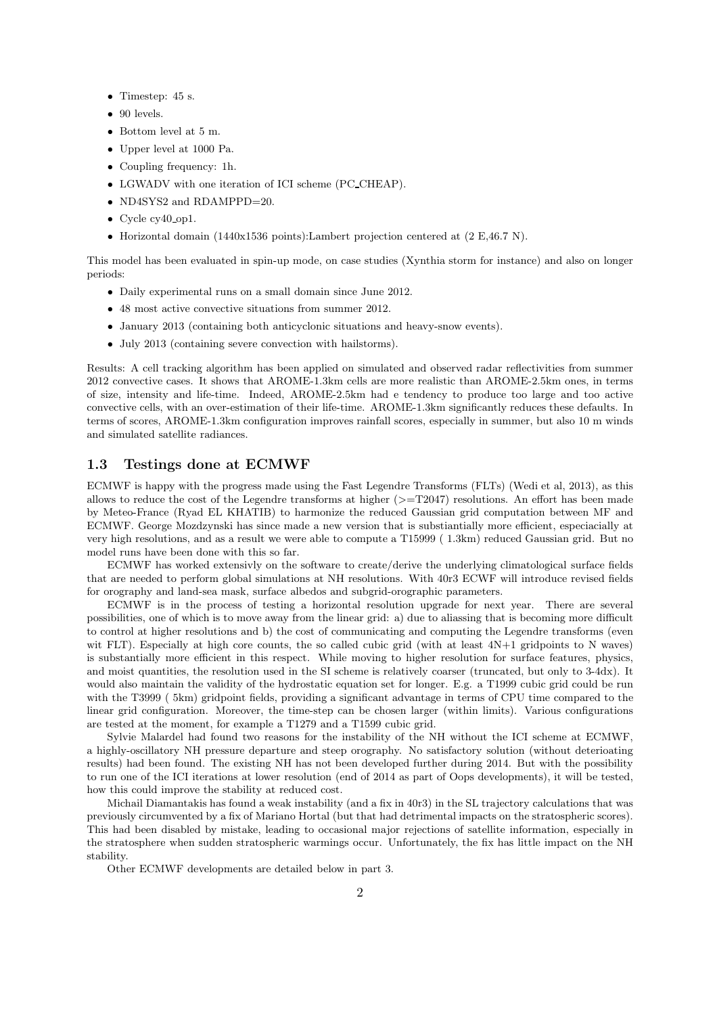- Timestep: 45 s.
- 90 levels.
- Bottom level at 5 m.
- Upper level at 1000 Pa.
- Coupling frequency: 1h.
- LGWADV with one iteration of ICI scheme (PC CHEAP).
- ND4SYS2 and RDAMPPD=20.
- Cycle cy40\_op1.
- Horizontal domain (1440x1536 points):Lambert projection centered at (2 E,46.7 N).

This model has been evaluated in spin-up mode, on case studies (Xynthia storm for instance) and also on longer periods:

- Daily experimental runs on a small domain since June 2012.
- 48 most active convective situations from summer 2012.
- January 2013 (containing both anticyclonic situations and heavy-snow events).
- July 2013 (containing severe convection with hailstorms).

Results: A cell tracking algorithm has been applied on simulated and observed radar reflectivities from summer 2012 convective cases. It shows that AROME-1.3km cells are more realistic than AROME-2.5km ones, in terms of size, intensity and life-time. Indeed, AROME-2.5km had e tendency to produce too large and too active convective cells, with an over-estimation of their life-time. AROME-1.3km significantly reduces these defaults. In terms of scores, AROME-1.3km configuration improves rainfall scores, especially in summer, but also 10 m winds and simulated satellite radiances.

#### 1.3 Testings done at ECMWF

ECMWF is happy with the progress made using the Fast Legendre Transforms (FLTs) (Wedi et al, 2013), as this allows to reduce the cost of the Legendre transforms at higher  $(>=T2047)$  resolutions. An effort has been made by Meteo-France (Ryad EL KHATIB) to harmonize the reduced Gaussian grid computation between MF and ECMWF. George Mozdzynski has since made a new version that is substiantially more efficient, especiacially at very high resolutions, and as a result we were able to compute a T15999 ( 1.3km) reduced Gaussian grid. But no model runs have been done with this so far.

ECMWF has worked extensivly on the software to create/derive the underlying climatological surface fields that are needed to perform global simulations at NH resolutions. With 40r3 ECWF will introduce revised fields for orography and land-sea mask, surface albedos and subgrid-orographic parameters.

ECMWF is in the process of testing a horizontal resolution upgrade for next year. There are several possibilities, one of which is to move away from the linear grid: a) due to aliassing that is becoming more difficult to control at higher resolutions and b) the cost of communicating and computing the Legendre transforms (even wit FLT). Especially at high core counts, the so called cubic grid (with at least  $4N+1$  gridpoints to N waves) is substantially more efficient in this respect. While moving to higher resolution for surface features, physics, and moist quantities, the resolution used in the SI scheme is relatively coarser (truncated, but only to 3-4dx). It would also maintain the validity of the hydrostatic equation set for longer. E.g. a T1999 cubic grid could be run with the T3999 ( 5km) gridpoint fields, providing a significant advantage in terms of CPU time compared to the linear grid configuration. Moreover, the time-step can be chosen larger (within limits). Various configurations are tested at the moment, for example a T1279 and a T1599 cubic grid.

Sylvie Malardel had found two reasons for the instability of the NH without the ICI scheme at ECMWF, a highly-oscillatory NH pressure departure and steep orography. No satisfactory solution (without deterioating results) had been found. The existing NH has not been developed further during 2014. But with the possibility to run one of the ICI iterations at lower resolution (end of 2014 as part of Oops developments), it will be tested, how this could improve the stability at reduced cost.

Michail Diamantakis has found a weak instability (and a fix in 40r3) in the SL trajectory calculations that was previously circumvented by a fix of Mariano Hortal (but that had detrimental impacts on the stratospheric scores). This had been disabled by mistake, leading to occasional major rejections of satellite information, especially in the stratosphere when sudden stratospheric warmings occur. Unfortunately, the fix has little impact on the NH stability.

Other ECMWF developments are detailed below in part 3.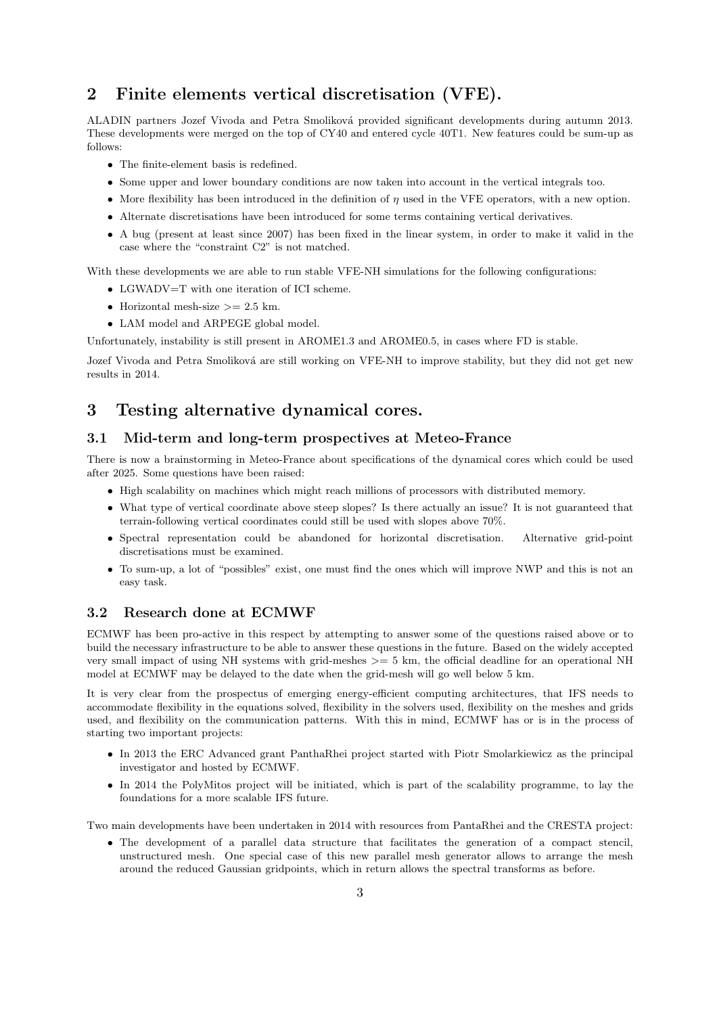# 2 Finite elements vertical discretisation (VFE).

ALADIN partners Jozef Vivoda and Petra Smoliková provided significant developments during autumn 2013. These developments were merged on the top of CY40 and entered cycle 40T1. New features could be sum-up as follows:

- The finite-element basis is redefined.
- Some upper and lower boundary conditions are now taken into account in the vertical integrals too.
- More flexibility has been introduced in the definition of  $\eta$  used in the VFE operators, with a new option.
- Alternate discretisations have been introduced for some terms containing vertical derivatives.
- A bug (present at least since 2007) has been fixed in the linear system, in order to make it valid in the case where the "constraint C2" is not matched.

With these developments we are able to run stable VFE-NH simulations for the following configurations:

- LGWADV=T with one iteration of ICI scheme.
- Horizontal mesh-size  $>= 2.5$  km.
- LAM model and ARPEGE global model.

Unfortunately, instability is still present in AROME1.3 and AROME0.5, in cases where FD is stable.

Jozef Vivoda and Petra Smoliková are still working on VFE-NH to improve stability, but they did not get new results in 2014.

# 3 Testing alternative dynamical cores.

## 3.1 Mid-term and long-term prospectives at Meteo-France

There is now a brainstorming in Meteo-France about specifications of the dynamical cores which could be used after 2025. Some questions have been raised:

- High scalability on machines which might reach millions of processors with distributed memory.
- What type of vertical coordinate above steep slopes? Is there actually an issue? It is not guaranteed that terrain-following vertical coordinates could still be used with slopes above 70%.
- Spectral representation could be abandoned for horizontal discretisation. Alternative grid-point discretisations must be examined.
- To sum-up, a lot of "possibles" exist, one must find the ones which will improve NWP and this is not an easy task.

## 3.2 Research done at ECMWF

ECMWF has been pro-active in this respect by attempting to answer some of the questions raised above or to build the necessary infrastructure to be able to answer these questions in the future. Based on the widely accepted very small impact of using NH systems with grid-meshes  $\geq$  5 km, the official deadline for an operational NH model at ECMWF may be delayed to the date when the grid-mesh will go well below 5 km.

It is very clear from the prospectus of emerging energy-efficient computing architectures, that IFS needs to accommodate flexibility in the equations solved, flexibility in the solvers used, flexibility on the meshes and grids used, and flexibility on the communication patterns. With this in mind, ECMWF has or is in the process of starting two important projects:

- In 2013 the ERC Advanced grant PanthaRhei project started with Piotr Smolarkiewicz as the principal investigator and hosted by ECMWF.
- In 2014 the PolyMitos project will be initiated, which is part of the scalability programme, to lay the foundations for a more scalable IFS future.

Two main developments have been undertaken in 2014 with resources from PantaRhei and the CRESTA project:

• The development of a parallel data structure that facilitates the generation of a compact stencil, unstructured mesh. One special case of this new parallel mesh generator allows to arrange the mesh around the reduced Gaussian gridpoints, which in return allows the spectral transforms as before.